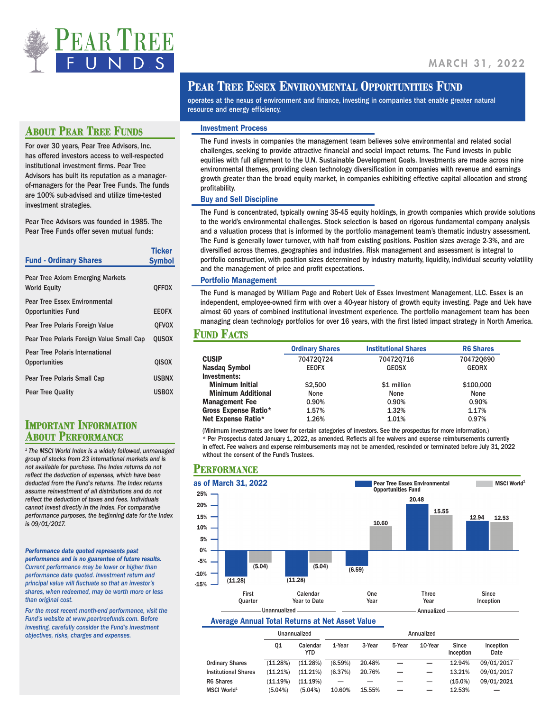

## **ABOUT PEAR TREE FUNDS**

For over 30 years, Pear Tree Advisors, Inc. has offered investors access to well-respected institutional investment firms. Pear Tree Advisors has built its reputation as a managerof-managers for the Pear Tree Funds. The funds are 100% sub-advised and utilize time-tested investment strategies.

Pear Tree Advisors was founded in 1985. The Pear Tree Funds offer seven mutual funds:

| <b>Fund - Ordinary Shares</b>                                     | <b>Ticker</b><br><b>Symbol</b> |
|-------------------------------------------------------------------|--------------------------------|
| Pear Tree Axiom Emerging Markets<br><b>World Equity</b>           | <b>OFFOX</b>                   |
| <b>Pear Tree Essex Environmental</b><br><b>Opportunities Fund</b> | <b>EEOFX</b>                   |
| Pear Tree Polaris Foreign Value                                   | <b>OFVOX</b>                   |
| Pear Tree Polaris Foreign Value Small Cap                         | <b>OUSOX</b>                   |
| Pear Tree Polaris International<br>Opportunities                  | <b>QISOX</b>                   |
| Pear Tree Polaris Small Cap                                       | <b>USBNX</b>                   |
| <b>Pear Tree Quality</b>                                          | <b>USBOX</b>                   |

# **IMPORTANT INFORMATION ABOUT PERFORMANCE**

*1 The MSCI World Index is a widely followed, unmanaged group of stocks from 23 international markets and is not available for purchase. The Index returns do not reflect the deduction of expenses, which have been deducted from the Fund's returns. The Index returns assume reinvestment of all distributions and do not reflect the deduction of taxes and fees. Individuals cannot invest directly in the Index. For comparative performance purposes, the beginning date for the Index is 09/01/2017.*

*Performance data quoted represents past performance and is no guarantee of future results. Current performance may be lower or higher than performance data quoted. Investment return and principal value will fluctuate so that an investor's shares, when redeemed, may be worth more or less than original cost.* 

*For the most recent month-end performance, visit the Fund's website at www.peartreefunds.com. Before investing, carefully consider the Fund's investment objectives, risks, charges and expenses.* 

# **PEAR TREE ESSEX ENVIRONMENTAL OPPORTUNITIES FUND**

operates at the nexus of environment and finance, investing in companies that enable greater natural resource and energy efficiency.

#### Investment Process

The Fund invests in companies the management team believes solve environmental and related social challenges, seeking to provide attractive financial and social impact returns. The Fund invests in public equities with full alignment to the U.N. Sustainable Development Goals. Investments are made across nine environmental themes, providing clean technology diversification in companies with revenue and earnings growth greater than the broad equity market, in companies exhibiting effective capital allocation and strong profitability.

#### Buy and Sell Discipline

The Fund is concentrated, typically owning 35-45 equity holdings, in growth companies which provide solutions to the world's environmental challenges. Stock selection is based on rigorous fundamental company analysis and a valuation process that is informed by the portfolio management team's thematic industry assessment. The Fund is generally lower turnover, with half from existing positions. Position sizes average 2-3%, and are diversified across themes, geographies and industries. Risk management and assessment is integral to portfolio construction, with position sizes determined by industry maturity, liquidity, individual security volatility and the management of price and profit expectations.

#### Portfolio Management

The Fund is managed by William Page and Robert Uek of Essex Investment Management, LLC. Essex is an independent, employee-owned firm with over a 40-year history of growth equity investing. Page and Uek have almost 60 years of combined institutional investment experience. The portfolio management team has been managing clean technology portfolios for over 16 years, with the first listed impact strategy in North America.

#### **Fund Factts**

|                           | <b>Ordinary Shares</b> | <b>Institutional Shares</b> | <b>R6 Shares</b> |
|---------------------------|------------------------|-----------------------------|------------------|
| <b>CUSIP</b>              | 704720724              | 704720716                   | 704720690        |
| Nasdag Symbol             | <b>EEOFX</b>           | <b>GEOSX</b>                | <b>GEORX</b>     |
| Investments:              |                        |                             |                  |
| <b>Minimum Initial</b>    | \$2,500                | \$1 million                 | \$100,000        |
| <b>Minimum Additional</b> | None                   | None                        | None             |
| <b>Management Fee</b>     | 0.90%                  | 0.90%                       | 0.90%            |
| Gross Expense Ratio*      | 1.57%                  | 1.32%                       | 1.17%            |
| Net Expense Ratio*        | 1.26%                  | 1.01%                       | 0.97%            |

(Minimum investments are lower for certain categories of investors. See the prospectus for more information.) \* Per Prospectus dated January 1, 2022, as amended. Reflects all fee waivers and expense reimbursements currently

in effect. Fee waivers and expense reimbursements may not be amended, rescinded or terminated before July 31, 2022 without the consent of the Fund's Trustees.

#### **Performance**



#### Average Annual Total Returns at Net Asset Value

|                             |            | Unannualized           |         |        |        | Annualized |                    |                   |
|-----------------------------|------------|------------------------|---------|--------|--------|------------|--------------------|-------------------|
|                             | Q1         | Calendar<br><b>YTD</b> | 1-Year  | 3-Year | 5-Year | 10-Year    | Since<br>Inception | Inception<br>Date |
| <b>Ordinary Shares</b>      | (11.28%)   | (11.28%)               | (6.59%) | 20.48% |        |            | 12.94%             | 09/01/2017        |
| <b>Institutional Shares</b> | (11.21%)   | (11.21%)               | (6.37%) | 20.76% |        |            | 13.21%             | 09/01/2017        |
| <b>R6 Shares</b>            | (11.19%)   | (11.19%)               | -       |        |        |            | $(15.0\%)$         | 09/01/2021        |
| MSCI World <sup>1</sup>     | $(5.04\%)$ | (5.04%)                | 10.60%  | 15.55% | -      |            | 12.53%             |                   |